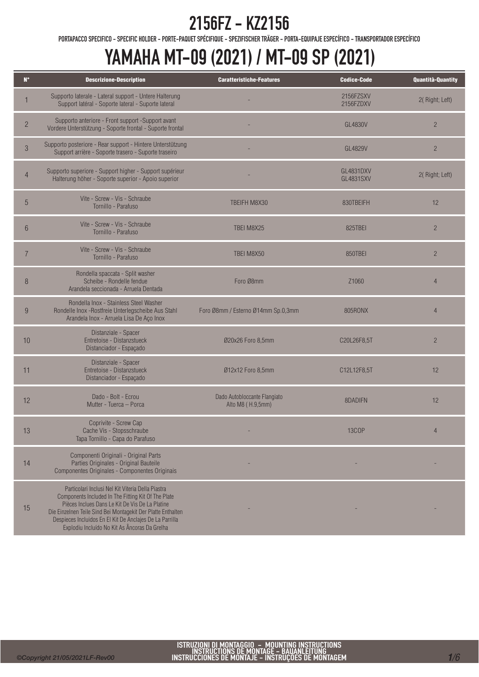PORTAPACCO SPECIFICO - SPECIFIC HOLDER - PORTE-PAQUET SPÉCIFIQUE - SPEZIFISCHER TRÄGER - PORTA-EQUIPAJE ESPECÍFICO - TRANSPORTADOR ESPECÍFICO

## YAMAHA MT-09 (2021) / MT-09 SP (2021)

| $N^{\circ}$    | <b>Descrizione-Description</b>                                                                                                                                                                                                                                                                                                           | <b>Caratteristiche-Features</b>                   | <b>Codice-Code</b>                   | <b>Quantità-Quantity</b> |
|----------------|------------------------------------------------------------------------------------------------------------------------------------------------------------------------------------------------------------------------------------------------------------------------------------------------------------------------------------------|---------------------------------------------------|--------------------------------------|--------------------------|
|                | Supporto laterale - Lateral support - Untere Halterung<br>Support latéral - Soporte lateral - Suporte lateral                                                                                                                                                                                                                            |                                                   | 2156FZSXV<br>2156FZDXV               | 2(Right; Left)           |
| $\overline{2}$ | Supporto anteriore - Front support -Support avant<br>Vordere Unterstützung - Soporte frontal - Suporte frontal                                                                                                                                                                                                                           |                                                   | GL4830V                              | $\overline{2}$           |
| $\mathfrak{S}$ | Supporto posteriore - Rear support - Hintere Unterstützung<br>Support arrière - Soporte trasero - Suporte traseiro                                                                                                                                                                                                                       |                                                   | GL4829V                              | $\overline{2}$           |
| $\overline{4}$ | Supporto superiore - Support higher - Support supérieur<br>Halterung höher - Soporte superior - Apoio superior                                                                                                                                                                                                                           |                                                   | <b>GL4831DXV</b><br><b>GL4831SXV</b> | 2(Right; Left)           |
| 5              | Vite - Screw - Vis - Schraube<br>Tornillo - Parafuso                                                                                                                                                                                                                                                                                     | TBEIFH M8X30                                      | 830TBEIFH                            | 12                       |
| $6\phantom{1}$ | Vite - Screw - Vis - Schraube<br>Tornillo - Parafuso                                                                                                                                                                                                                                                                                     | TBEI M8X25                                        | 825TBFI                              | $\overline{2}$           |
| $\overline{7}$ | Vite - Screw - Vis - Schraube<br>Tornillo - Parafuso                                                                                                                                                                                                                                                                                     | TBEI M8X50                                        | 850TBEI                              | $\overline{2}$           |
| 8              | Rondella spaccata - Split washer<br>Scheibe - Rondelle fendue<br>Arandela seccionada - Arruela Dentada                                                                                                                                                                                                                                   | Foro Ø8mm                                         | Z1060                                | $\overline{4}$           |
| 9              | Rondella Inox - Stainless Steel Washer<br>Rondelle Inox - Rostfreie Unterlegscheibe Aus Stahl<br>Arandela Inox - Arruela Lisa De Aço Inox                                                                                                                                                                                                | Foro Ø8mm / Esterno Ø14mm Sp.0,3mm                | 805RONX                              | $\overline{4}$           |
| 10             | Distanziale - Spacer<br>Entretoise - Distanzstueck<br>Distanciador - Espaçado                                                                                                                                                                                                                                                            | Ø20x26 Foro 8,5mm                                 | C20L26F8,5T                          | $\overline{2}$           |
| 11             | Distanziale - Spacer<br>Entretoise - Distanzstueck<br>Distanciador - Espaçado                                                                                                                                                                                                                                                            | Ø12x12 Foro 8,5mm                                 | C12L12F8,5T                          | 12                       |
| 12             | Dado - Bolt - Ecrou<br>Mutter - Tuerca - Porca                                                                                                                                                                                                                                                                                           | Dado Autobloccante Flangiato<br>Alto M8 (H.9,5mm) | 8DADIFN                              | 12                       |
| 13             | Coprivite - Screw Cap<br>Cache Vis - Stopsschraube<br>Tapa Tornillo - Capa do Parafuso                                                                                                                                                                                                                                                   |                                                   | <b>13COP</b>                         |                          |
| 14             | Componenti Originali - Original Parts<br>Parties Originales - Original Bauteile<br>Componentes Originales - Componentes Originais                                                                                                                                                                                                        |                                                   |                                      |                          |
| 15             | Particolari Inclusi Nel Kit Viteria Della Piastra<br>Components Included In The Fitting Kit Of The Plate<br>Pièces Inclues Dans Le Kit De Vis De La Platine<br>Die Einzelnen Teile Sind Bei Montagekit Der Platte Enthalten<br>Despieces Incluidos En El Kit De Anclajes De La Parrilla<br>Explodiu Incluído No Kit As Âncoras Da Grelha |                                                   |                                      |                          |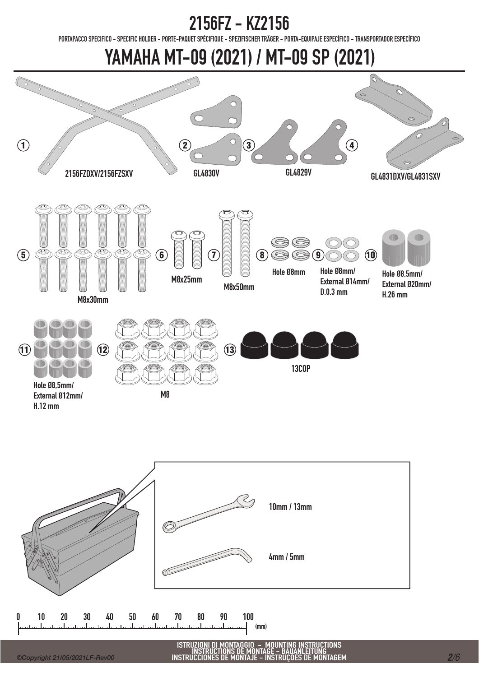PORTAPACCO SPECIFICO - SPECIFIC HOLDER - PORTE-PAQUET SPÉCIFIQUE - SPEZIFISCHER TRÄGER - PORTA-EQUIPAJE ESPECÍFICO - TRANSPORTADOR ESPECÍFICO

YAMAHA MT-09 (2021) / MT-09 SP (2021)





ISTRUZIONI DI MONTAGGIO - MOUNTING INSTRUCTIONS INSTRUCTIONS DE MONTAGE - BAUANLEITUNG INSTRUCCIONES DE MONTAJE - INSTRUÇÕES DE MONTAGEM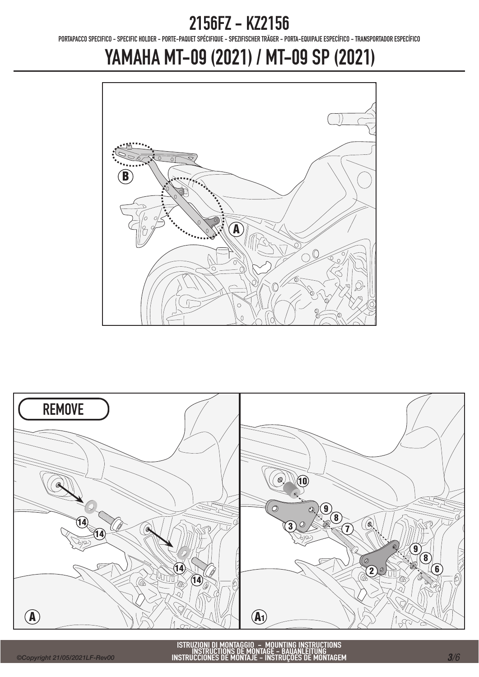PORTAPACCO SPECIFICO - SPECIFIC HOLDER - PORTE-PAQUET SPÉCIFIQUE - SPEZIFISCHER TRÄGER - PORTA-EQUIPAJE ESPECÍFICO - TRANSPORTADOR ESPECÍFICO

# YAMAHA MT-09 (2021) / MT-09 SP (2021)



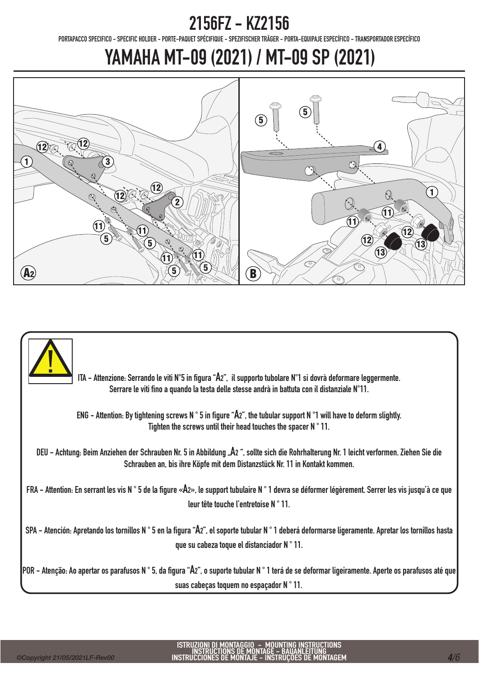PORTAPACCO SPECIFICO - SPECIFIC HOLDER - PORTE-PAQUET SPÉCIFIQUE - SPEZIFISCHER TRÄGER - PORTA-EQUIPAJE ESPECÍFICO - TRANSPORTADOR ESPECÍFICO

# YAMAHA MT-09 (2021) / MT-09 SP (2021)



ITA - Attenzione: Serrando le viti N°5 in figura "A2", il supporto tubolare N°1 si dovrà deformare leggermente. Serrare le viti fino a quando la testa delle stesse andrà in battuta con il distanziale N°11.

ENG - Attention: By tightening screws N ° 5 in figure "A2", the tubular support N °1 will have to deform slightly. Tighten the screws until their head touches the spacer N ° 11.

DEU - Achtung: Beim Anziehen der Schrauben Nr. 5 in Abbildung "A2", sollte sich die Rohrhalterung Nr. 1 leicht verformen. Ziehen Sie die Schrauben an, bis ihre Köpfe mit dem Distanzstück Nr. 11 in Kontakt kommen.

FRA - Attention: En serrant les vis N ° 5 de la figure «A2», le support tubulaire N ° 1 devra se déformer légèrement. Serrer les vis jusqu'à ce que leur tête touche l'entretoise N ° 11.

SPA - Atención: Apretando los tornillos N ° 5 en la figura "A2", el soporte tubular N ° 1 deberá deformarse ligeramente. Apretar los tornillos hasta que su cabeza toque el distanciador N ° 11.

POR - Atenção: Ao apertar os parafusos N ° 5, da figura "A2", o suporte tubular N ° 1 terá de se deformar ligeiramente. Aperte os parafusos até que suas cabeças toquem no espaçador N ° 11.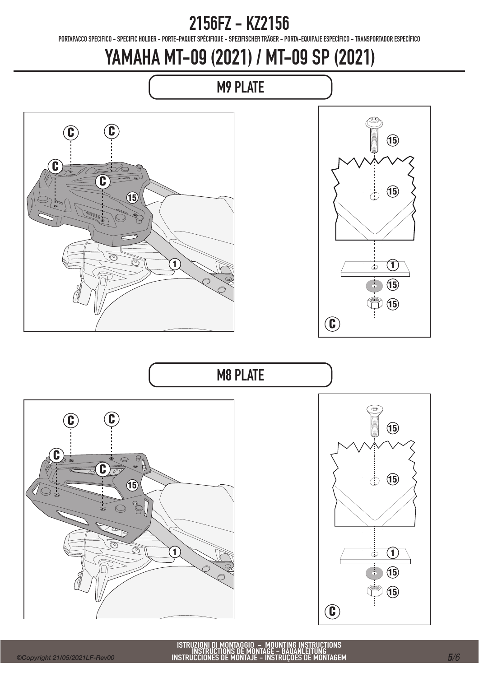PORTAPACCO SPECIFICO - SPECIFIC HOLDER - PORTE-PAQUET SPÉCIFIQUE - SPEZIFISCHER TRÄGER - PORTA-EQUIPAJE ESPECÍFICO - TRANSPORTADOR ESPECÍFICO

# YAMAHA MT-09 (2021) / MT-09 SP (2021)



C